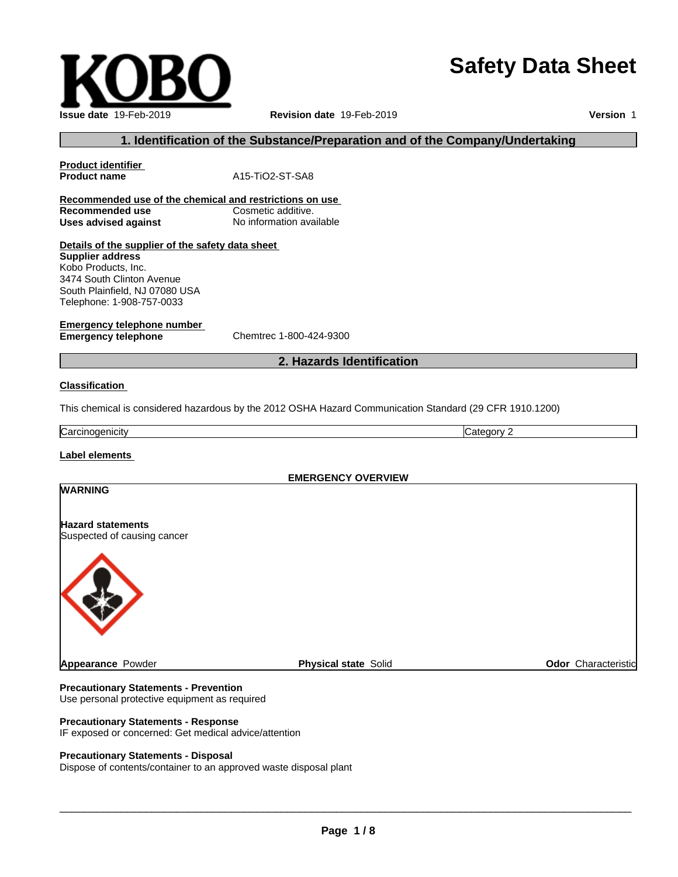# **Safety Data Sheet**

| <b>Issue date 19-Feb-2019</b> |
|-------------------------------|

#### **Issue date** 19-Feb-2019 **Revision date** 19-Feb-2019 **Version** 1

#### **1. Identification of the Substance/Preparation and of the Company/Undertaking**

| Product identifier<br><b>Product name</b>               | A15-TiO2-ST-SA8                                                                                         |            |                            |  |  |
|---------------------------------------------------------|---------------------------------------------------------------------------------------------------------|------------|----------------------------|--|--|
| Recommended use of the chemical and restrictions on use |                                                                                                         |            |                            |  |  |
| Recommended use                                         | Cosmetic additive.                                                                                      |            |                            |  |  |
| No information available<br><b>Uses advised against</b> |                                                                                                         |            |                            |  |  |
| Details of the supplier of the safety data sheet        |                                                                                                         |            |                            |  |  |
| <b>Supplier address</b>                                 |                                                                                                         |            |                            |  |  |
| Kobo Products, Inc.                                     |                                                                                                         |            |                            |  |  |
| 3474 South Clinton Avenue                               |                                                                                                         |            |                            |  |  |
| South Plainfield, NJ 07080 USA                          |                                                                                                         |            |                            |  |  |
| Telephone: 1-908-757-0033                               |                                                                                                         |            |                            |  |  |
| <b>Emergency telephone number</b>                       |                                                                                                         |            |                            |  |  |
| <b>Emergency telephone</b>                              | Chemtrec 1-800-424-9300                                                                                 |            |                            |  |  |
|                                                         |                                                                                                         |            |                            |  |  |
|                                                         | 2. Hazards Identification                                                                               |            |                            |  |  |
| <b>Classification</b>                                   |                                                                                                         |            |                            |  |  |
|                                                         |                                                                                                         |            |                            |  |  |
|                                                         | This chemical is considered hazardous by the 2012 OSHA Hazard Communication Standard (29 CFR 1910.1200) |            |                            |  |  |
| Carcinogenicity                                         |                                                                                                         | Category 2 |                            |  |  |
| Label elements                                          |                                                                                                         |            |                            |  |  |
|                                                         |                                                                                                         |            |                            |  |  |
|                                                         | <b>EMERGENCY OVERVIEW</b>                                                                               |            |                            |  |  |
| <b>WARNING</b>                                          |                                                                                                         |            |                            |  |  |
|                                                         |                                                                                                         |            |                            |  |  |
| <b>Hazard statements</b>                                |                                                                                                         |            |                            |  |  |
| Suspected of causing cancer                             |                                                                                                         |            |                            |  |  |
|                                                         |                                                                                                         |            |                            |  |  |
|                                                         |                                                                                                         |            |                            |  |  |
|                                                         |                                                                                                         |            |                            |  |  |
| <b>Appearance Powder</b>                                | <b>Physical state Solid</b>                                                                             |            | <b>Odor</b> Characteristic |  |  |
|                                                         |                                                                                                         |            |                            |  |  |

#### **Precautionary Statements - Prevention**

Use personal protective equipment as required

#### **Precautionary Statements - Response**

IF exposed or concerned: Get medical advice/attention

#### **Precautionary Statements - Disposal**

Dispose of contents/container to an approved waste disposal plant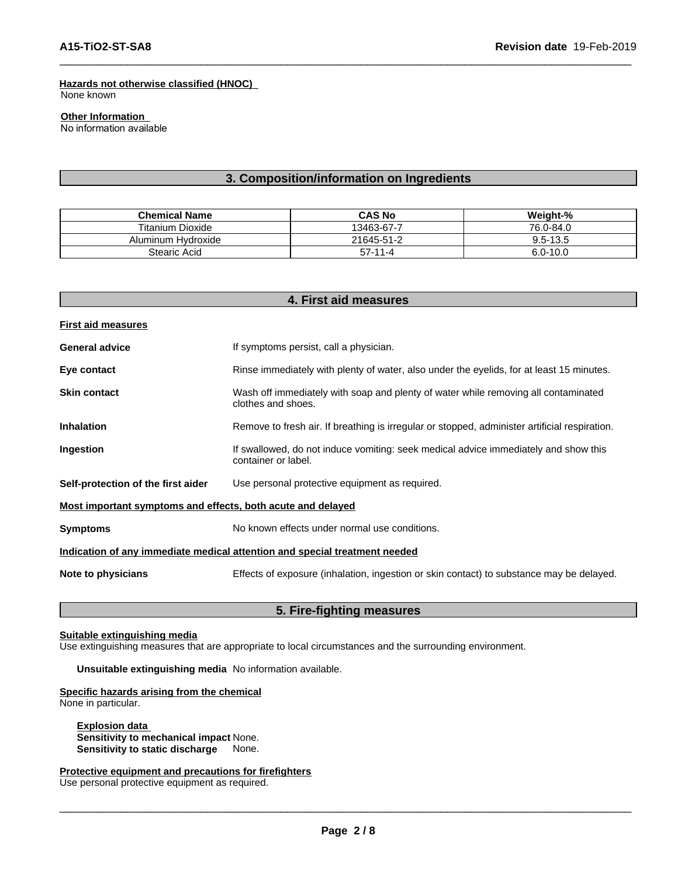#### **Hazards not otherwise classified (HNOC)**

None known

#### **Other Information**

No information available

#### **3. Composition/information on Ingredients**

| <b>Chemical Name</b>  | <b>CAS No</b> | Weight-%     |
|-----------------------|---------------|--------------|
| Titanium Dioxide      | 13463-67-7    | 76.0-84.0    |
| Hvdroxide<br>Aluminum | 21645-51-2    | $9.5 - 13.5$ |
| Stearic Acid          | $57 - 11 - 4$ | $6.0 - 10.0$ |

|                                                             | 4. First aid measures                                                                                      |  |
|-------------------------------------------------------------|------------------------------------------------------------------------------------------------------------|--|
| <b>First aid measures</b>                                   |                                                                                                            |  |
| <b>General advice</b>                                       | If symptoms persist, call a physician.                                                                     |  |
| Eye contact                                                 | Rinse immediately with plenty of water, also under the eyelids, for at least 15 minutes.                   |  |
| <b>Skin contact</b>                                         | Wash off immediately with soap and plenty of water while removing all contaminated<br>clothes and shoes.   |  |
| <b>Inhalation</b>                                           | Remove to fresh air. If breathing is irregular or stopped, administer artificial respiration.              |  |
| Ingestion                                                   | If swallowed, do not induce vomiting: seek medical advice immediately and show this<br>container or label. |  |
| Self-protection of the first aider                          | Use personal protective equipment as required.                                                             |  |
| Most important symptoms and effects, both acute and delayed |                                                                                                            |  |
| <b>Symptoms</b>                                             | No known effects under normal use conditions.                                                              |  |
|                                                             | Indication of any immediate medical attention and special treatment needed                                 |  |
| Note to physicians                                          | Effects of exposure (inhalation, ingestion or skin contact) to substance may be delayed.                   |  |

#### **5. Fire-fighting measures**

#### **Suitable extinguishing media**

Use extinguishing measures that are appropriate to local circumstances and the surrounding environment.

**Unsuitable extinguishing media** No information available.

#### **Specific hazards arising from the chemical**

None in particular.

**Explosion data Sensitivity to mechanical impact** None. **Sensitivity to static discharge** None.

**Protective equipment and precautions for firefighters** Use personal protective equipment as required.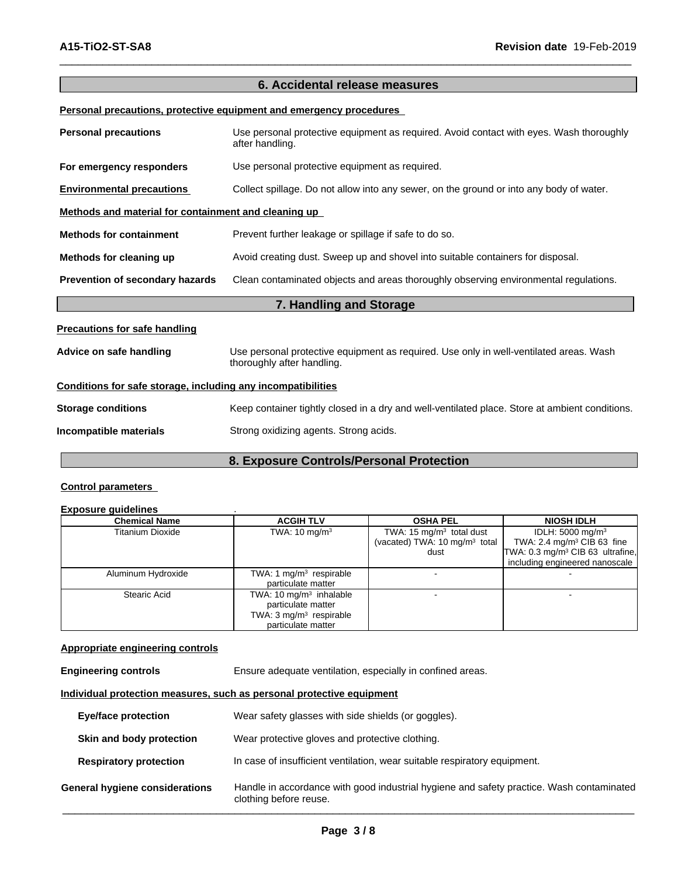## **6. Accidental release measures Personal precautions, protective equipment and emergency procedures Personal precautions** Use personal protective equipment as required. Avoid contact with eyes. Wash thoroughly after handling. **For emergency responders** Use personal protective equipment as required. **Environmental precautions** Collect spillage. Do not allow into any sewer, on the ground or into any body of water. **Methods and material for containment and cleaning up Methods for containment** Prevent further leakage or spillage if safe to do so. **Methods for cleaning up** Avoid creating dust. Sweep up and shovel into suitable containers for disposal. **Prevention of secondary hazards** Clean contaminated objects and areas thoroughly observing environmental regulations. **7. Handling and Storage Precautions for safe handling Advice on safe handling** Use personal protective equipment as required. Use only in well-ventilated areas. Wash thoroughly after handling. **Conditions for safe storage, including any incompatibilities Storage conditions** Keep container tightly closed in a dry and well-ventilated place. Store at ambient conditions.

**Incompatible materials** Strong oxidizing agents. Strong acids.

#### **8. Exposure Controls/Personal Protection**

#### **Control parameters**

#### **Exposure guidelines** .

| <b>Chemical Name</b> | <b>ACGIH TLV</b>                    | <b>OSHA PEL</b>                          | <b>NIOSH IDLH</b>                            |
|----------------------|-------------------------------------|------------------------------------------|----------------------------------------------|
| Titanium Dioxide     | TWA: $10 \text{ mg/m}^3$            | TWA: 15 $mg/m3$ total dust               | IDLH: 5000 mg/m <sup>3</sup>                 |
|                      |                                     | (vacated) TWA: $10 \text{ mg/m}^3$ total | TWA: 2.4 mg/m <sup>3</sup> CIB 63 fine       |
|                      |                                     | dust                                     | TWA: 0.3 mg/m <sup>3</sup> CIB 63 ultrafine, |
|                      |                                     |                                          | including engineered nanoscale               |
| Aluminum Hydroxide   | TWA: 1 $mg/m3$ respirable           |                                          |                                              |
|                      | particulate matter                  |                                          |                                              |
| Stearic Acid         | TWA: 10 mg/m <sup>3</sup> inhalable |                                          |                                              |
|                      | particulate matter                  |                                          |                                              |
|                      | TWA: $3 \text{ mg/m}^3$ respirable  |                                          |                                              |
|                      | particulate matter                  |                                          |                                              |

#### **Appropriate engineering controls**

**Engineering controls** Ensure adequate ventilation, especially in confined areas.

#### **Individual protection measures, such as personal protective equipment**

| <b>Eye/face protection</b>     | Wear safety glasses with side shields (or goggles).                                                                |
|--------------------------------|--------------------------------------------------------------------------------------------------------------------|
| Skin and body protection       | Wear protective gloves and protective clothing.                                                                    |
| <b>Respiratory protection</b>  | In case of insufficient ventilation, wear suitable respiratory equipment.                                          |
| General hygiene considerations | Handle in accordance with good industrial hygiene and safety practice. Wash contaminated<br>clothing before reuse. |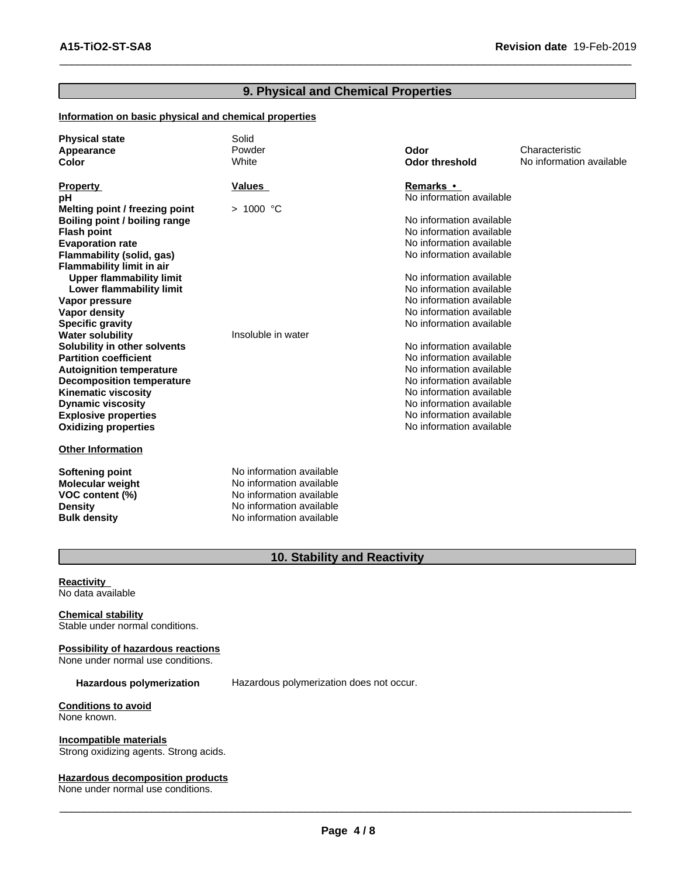#### **9. Physical and Chemical Properties**

#### **Information on basic physical and chemical properties**

| <b>Physical state</b><br>Appearance<br>Color | Solid<br>Powder<br>White | Odor<br><b>Odor threshold</b> | Characteristic<br>No information available |
|----------------------------------------------|--------------------------|-------------------------------|--------------------------------------------|
| <b>Property</b>                              | Values                   | Remarks •                     |                                            |
| рH                                           |                          | No information available      |                                            |
| Melting point / freezing point               | $>1000$ °C               |                               |                                            |
| Boiling point / boiling range                |                          | No information available      |                                            |
| <b>Flash point</b>                           |                          | No information available      |                                            |
| <b>Evaporation rate</b>                      |                          | No information available      |                                            |
| Flammability (solid, gas)                    |                          | No information available      |                                            |
| <b>Flammability limit in air</b>             |                          |                               |                                            |
| <b>Upper flammability limit</b>              |                          | No information available      |                                            |
| Lower flammability limit                     |                          | No information available      |                                            |
| Vapor pressure                               |                          | No information available      |                                            |
| Vapor density                                |                          | No information available      |                                            |
| <b>Specific gravity</b>                      |                          | No information available      |                                            |
| <b>Water solubility</b>                      | Insoluble in water       |                               |                                            |
| Solubility in other solvents                 |                          | No information available      |                                            |
| <b>Partition coefficient</b>                 |                          | No information available      |                                            |
| <b>Autoignition temperature</b>              |                          | No information available      |                                            |
| <b>Decomposition temperature</b>             |                          | No information available      |                                            |
| <b>Kinematic viscosity</b>                   |                          | No information available      |                                            |
| <b>Dynamic viscosity</b>                     |                          | No information available      |                                            |
| <b>Explosive properties</b>                  |                          | No information available      |                                            |
| <b>Oxidizing properties</b>                  |                          | No information available      |                                            |
| <b>Other Information</b>                     |                          |                               |                                            |
| <b>Softening point</b>                       | No information available |                               |                                            |
| <b>Molecular weight</b>                      | No information available |                               |                                            |
| VOC content (%)                              | No information available |                               |                                            |
| <b>Density</b>                               | No information available |                               |                                            |
| <b>Bulk density</b>                          | No information available |                               |                                            |

### **10. Stability and Reactivity**

**Reactivity** No data available

**Chemical stability** Stable under normal conditions.

#### **Possibility of hazardous reactions**

None under normal use conditions.

**Hazardous polymerization** Hazardous polymerization does not occur.

**Conditions to avoid** None known.

**Incompatible materials**

Strong oxidizing agents. Strong acids.

#### **Hazardous decomposition products**

None under normal use conditions.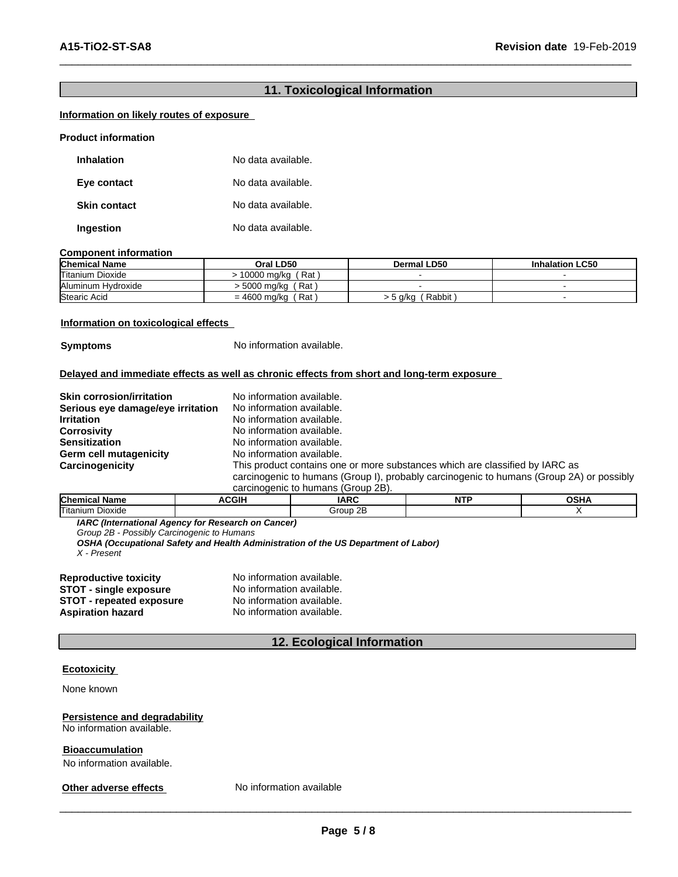#### **11. Toxicological Information**

#### **Information on likely routes of exposure**

| <b>Product information</b> |                    |
|----------------------------|--------------------|
| <b>Inhalation</b>          | No data available. |
| Eye contact                | No data available. |
| <b>Skin contact</b>        | No data available. |
| Ingestion                  | No data available. |

#### **Component information**

| <b>Chemical Name</b> | Oral LD50                 | <b>Dermal LD50</b> | <b>LC50</b><br>Inhalation |
|----------------------|---------------------------|--------------------|---------------------------|
| Titanium Dioxide     | ∵Rat .<br>0000<br>) ma/ka |                    |                           |
| Aluminum Hydroxide   | Rat<br>5000 mg/kg         |                    |                           |
| Stearic Acid         | Rat<br>$= 4600$<br>ma/ko  | Rabbit<br>. 5 a/ka |                           |

#### **Information on toxicological effects**

**Symptoms** No information available.

#### **Delayed and immediate effects as well as chronic effects from short and long-term exposure**

| <b>Skin corrosion/irritation</b>  | No information available.                                                                |
|-----------------------------------|------------------------------------------------------------------------------------------|
| Serious eye damage/eye irritation | No information available.                                                                |
| <b>Irritation</b>                 | No information available.                                                                |
| <b>Corrosivity</b>                | No information available.                                                                |
| <b>Sensitization</b>              | No information available.                                                                |
| Germ cell mutagenicity            | No information available.                                                                |
| Carcinogenicity                   | This product contains one or more substances which are classified by IARC as             |
|                                   | carcinogenic to humans (Group I), probably carcinogenic to humans (Group 2A) or possibly |
|                                   | carcinogenic to humans (Group 2B).                                                       |

| <b>Chemical Name</b>   | ACGIF | <b>IARC</b>              | ᅟᅠ<br>. | ⊿ים∩<br>שסט |
|------------------------|-------|--------------------------|---------|-------------|
| Titanium.<br>. Dioxide |       | $\mathbf{a}$<br>Group 2E |         |             |

*IARC (International Agency for Research on Cancer)*

*Group 2B - Possibly Carcinogenic to Humans*

*OSHA (Occupational Safety and Health Administration of the US Department of Labor)*

*X - Present*

| <b>Reproductive toxicity</b>    | No information available. |
|---------------------------------|---------------------------|
| <b>STOT - single exposure</b>   | No information available. |
| <b>STOT - repeated exposure</b> | No information available. |
| <b>Aspiration hazard</b>        | No information available. |

#### **12. Ecological Information**

#### **Ecotoxicity**

None known

#### **Persistence and degradability** No information available.

**Bioaccumulation**

No information available.

#### **Other adverse effects** No information available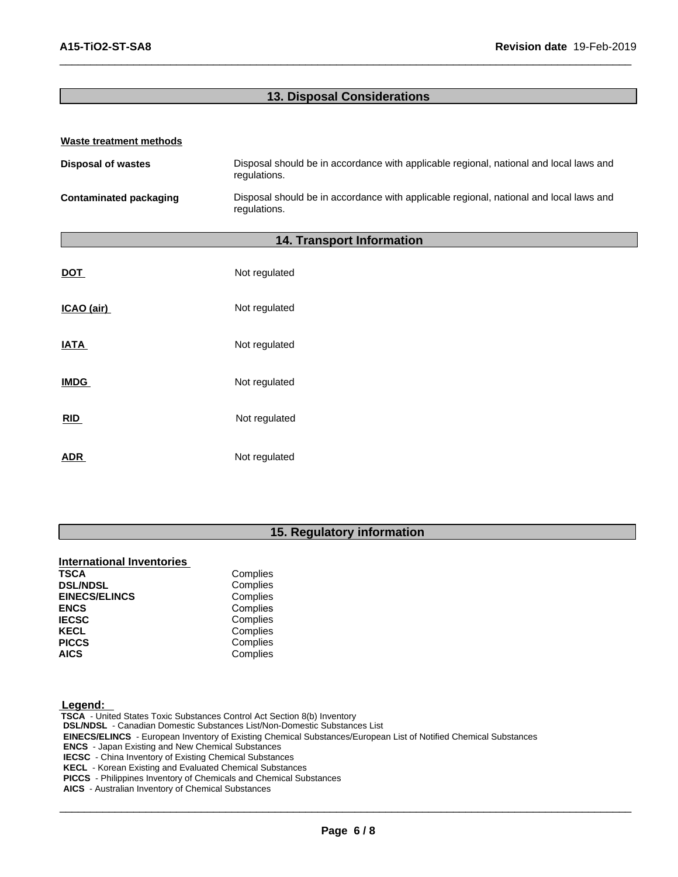### **13. Disposal Considerations**

| Waste treatment methods       |                                                                                                        |
|-------------------------------|--------------------------------------------------------------------------------------------------------|
| <b>Disposal of wastes</b>     | Disposal should be in accordance with applicable regional, national and local laws and<br>regulations. |
| <b>Contaminated packaging</b> | Disposal should be in accordance with applicable regional, national and local laws and<br>regulations. |
|                               | 14. Transport Information                                                                              |
| <b>DOT</b>                    | Not regulated                                                                                          |
| ICAO (air)                    | Not regulated                                                                                          |
| <b>IATA</b>                   | Not regulated                                                                                          |
| <b>IMDG</b>                   | Not regulated                                                                                          |
| <b>RID</b>                    | Not regulated                                                                                          |

ADR **ADR** Not regulated

#### **15. Regulatory information**

#### **International Inventories**

| Complies<br><b>DSL/NDSL</b><br>Complies<br><b>EINECS/ELINCS</b><br>Complies<br><b>ENCS</b><br>Complies<br><b>IECSC</b><br>Complies<br><b>KECL</b><br>Complies<br><b>PICCS</b> | <b>TSCA</b> | Complies |
|-------------------------------------------------------------------------------------------------------------------------------------------------------------------------------|-------------|----------|
|                                                                                                                                                                               |             |          |
|                                                                                                                                                                               |             |          |
|                                                                                                                                                                               |             |          |
|                                                                                                                                                                               |             |          |
|                                                                                                                                                                               |             |          |
|                                                                                                                                                                               |             |          |
|                                                                                                                                                                               | <b>AICS</b> | Complies |

#### **Legend:**

 **TSCA** - United States Toxic Substances Control Act Section 8(b) Inventory  **DSL/NDSL** - Canadian Domestic Substances List/Non-Domestic Substances List  **EINECS/ELINCS** - European Inventory of Existing Chemical Substances/European List of Notified Chemical Substances  **ENCS** - Japan Existing and New Chemical Substances  **IECSC** - China Inventory of Existing Chemical Substances  **KECL** - Korean Existing and Evaluated Chemical Substances  **PICCS** - Philippines Inventory of Chemicals and Chemical Substances

 **AICS** - Australian Inventory of Chemical Substances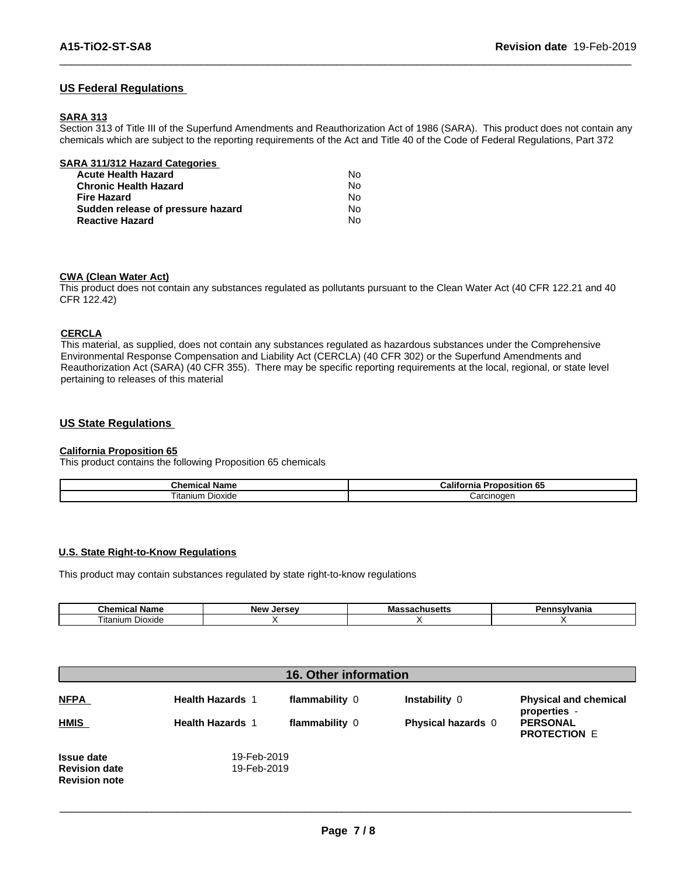#### **US Federal Regulations**

#### **SARA 313**

Section 313 of Title III of the Superfund Amendments and Reauthorization Act of 1986 (SARA). This product does not contain any chemicals which are subject to the reporting requirements of the Act and Title 40 of the Code of Federal Regulations, Part 372

| SARA 311/312 Hazard Categories    |    |  |
|-----------------------------------|----|--|
| <b>Acute Health Hazard</b>        | Nο |  |
| <b>Chronic Health Hazard</b>      | No |  |
| <b>Fire Hazard</b>                | No |  |
| Sudden release of pressure hazard | No |  |
| <b>Reactive Hazard</b>            | No |  |

#### **CWA** (Clean Water Act)

This product does not contain any substances regulated as pollutants pursuant to the Clean Water Act (40 CFR 122.21 and 40 CFR 122.42)

#### **CERCLA**

This material, as supplied, does not contain any substances regulated as hazardous substances under the Comprehensive Environmental Response Compensation and Liability Act (CERCLA) (40 CFR 302) or the Superfund Amendments and Reauthorization Act (SARA) (40 CFR 355). There may be specific reporting requirements at the local, regional, or state level pertaining to releases of this material

#### **US State Regulations**

#### **California Proposition 65**

This product contains the following Proposition 65 chemicals

| nemical rٽ<br>' Namc                                | $-10o$<br>;alito⊧<br>.<br>osition<br>ma |
|-----------------------------------------------------|-----------------------------------------|
| $\overline{\phantom{a}}$<br>-<br>Dioxide<br>itanium | "                                       |

#### **U.S. State Right-to-Know Regulations**

This product may contain substances regulated by state right-to-know regulations

| $\sim$ $\sim$ $\sim$ $\sim$<br><b>Blome</b><br>- 41116 | <b>New</b><br>lor.<br>$\cdots$<br>. | <br>'anna |
|--------------------------------------------------------|-------------------------------------|-----------|
| Dioxide<br>Titar<br>าเนทา                              |                                     |           |

| <b>16. Other information</b>                 |                         |                |                    |                                              |
|----------------------------------------------|-------------------------|----------------|--------------------|----------------------------------------------|
| <b>NFPA</b>                                  | <b>Health Hazards 1</b> | flammability 0 | Instability 0      | <b>Physical and chemical</b><br>properties - |
| <b>HMIS</b>                                  | <b>Health Hazards 1</b> | flammability 0 | Physical hazards 0 | <b>PERSONAL</b><br><b>PROTECTION E</b>       |
| <b>Issue date</b>                            | 19-Feb-2019             |                |                    |                                              |
| <b>Revision date</b><br><b>Revision note</b> | 19-Feb-2019             |                |                    |                                              |